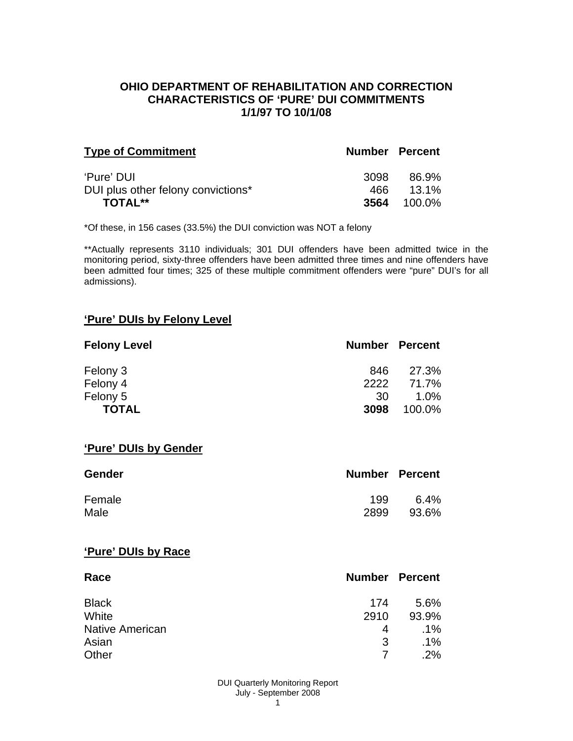### **OHIO DEPARTMENT OF REHABILITATION AND CORRECTION CHARACTERISTICS OF 'PURE' DUI COMMITMENTS 1/1/97 TO 10/1/08**

| <b>Type of Commitment</b>          | <b>Number Percent</b> |                    |
|------------------------------------|-----------------------|--------------------|
| 'Pure' DUI                         | 3098                  | 86.9%              |
| DUI plus other felony convictions* |                       | 466 13.1%          |
| <b>TOTAL**</b>                     |                       | <b>3564</b> 100.0% |

\*Of these, in 156 cases (33.5%) the DUI conviction was NOT a felony

\*\*Actually represents 3110 individuals; 301 DUI offenders have been admitted twice in the monitoring period, sixty-three offenders have been admitted three times and nine offenders have been admitted four times; 325 of these multiple commitment offenders were "pure" DUI's for all admissions).

#### **'Pure' DUIs by Felony Level**

| <b>Felony Level</b> | <b>Number Percent</b> |        |
|---------------------|-----------------------|--------|
| Felony 3            | 846                   | 27.3%  |
| Felony 4            | 2222                  | 71.7%  |
| Felony 5            | -30                   | 1.0%   |
| <b>TOTAL</b>        | 3098                  | 100.0% |

#### **'Pure' DUIs by Gender**

| <b>Gender</b> | <b>Number Percent</b> |         |
|---------------|-----------------------|---------|
| Female        | 199                   | $6.4\%$ |
| Male          | 2899                  | 93.6%   |

#### **'Pure' DUIs by Race**

| Race                   | <b>Number Percent</b> |        |
|------------------------|-----------------------|--------|
| <b>Black</b>           | 174                   | 5.6%   |
| White                  | 2910                  | 93.9%  |
| <b>Native American</b> | 4                     | $.1\%$ |
| Asian                  | 3                     | $.1\%$ |
| Other                  |                       | .2%    |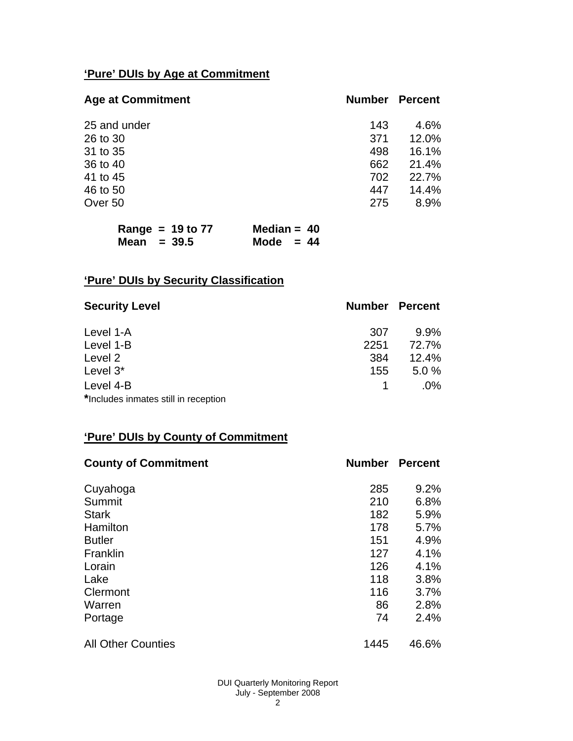# **'Pure' DUIs by Age at Commitment**

| <b>Age at Commitment</b> | <b>Number</b> | <b>Percent</b> |
|--------------------------|---------------|----------------|
| 25 and under             | 143           | 4.6%           |
| 26 to 30                 | 371           | 12.0%          |
| 31 to 35                 | 498           | 16.1%          |
| 36 to 40                 | 662           | 21.4%          |
| 41 to 45                 | 702           | 22.7%          |
| 46 to 50                 | 447           | 14.4%          |
| Over 50                  | 275           | 8.9%           |

| Range = $19$ to $77$ | Median = $40$ |  |
|----------------------|---------------|--|
| Mean $= 39.5$        | Mode $= 44$   |  |

# **'Pure' DUIs by Security Classification**

| <b>Security Level</b>                | <b>Number Percent</b> |         |
|--------------------------------------|-----------------------|---------|
| Level 1-A                            | 307                   | $9.9\%$ |
| Level 1-B                            | 2251                  | 72.7%   |
| Level 2                              | 384                   | 12.4%   |
| Level 3*                             | 155                   | 5.0%    |
| Level 4-B                            |                       | $.0\%$  |
| *Includes inmates still in reception |                       |         |

## **'Pure' DUIs by County of Commitment**

| <b>County of Commitment</b> | <b>Number</b> | <b>Percent</b> |
|-----------------------------|---------------|----------------|
| Cuyahoga                    | 285           | 9.2%           |
| Summit                      | 210           | 6.8%           |
| <b>Stark</b>                | 182           | 5.9%           |
| Hamilton                    | 178           | 5.7%           |
| <b>Butler</b>               | 151           | 4.9%           |
| Franklin                    | 127           | 4.1%           |
| Lorain                      | 126           | 4.1%           |
| Lake                        | 118           | 3.8%           |
| Clermont                    | 116           | 3.7%           |
| Warren                      | 86            | 2.8%           |
| Portage                     | 74            | 2.4%           |
| <b>All Other Counties</b>   | 1445          | 46.6%          |

DUI Quarterly Monitoring Report July - September 2008 2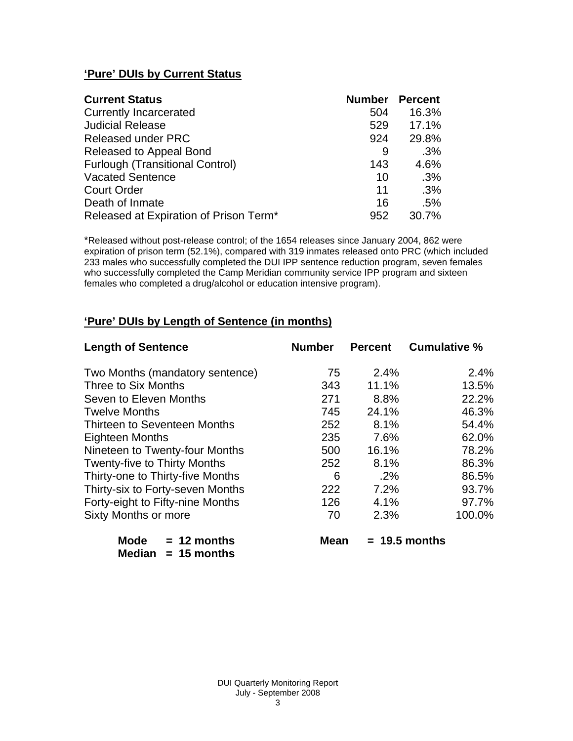# **'Pure' DUIs by Current Status**

| <b>Current Status</b>                  | <b>Number</b> | <b>Percent</b> |
|----------------------------------------|---------------|----------------|
| <b>Currently Incarcerated</b>          | 504           | 16.3%          |
| <b>Judicial Release</b>                | 529           | 17.1%          |
| <b>Released under PRC</b>              | 924           | 29.8%          |
| Released to Appeal Bond                | 9             | .3%            |
| <b>Furlough (Transitional Control)</b> | 143           | 4.6%           |
| <b>Vacated Sentence</b>                | 10            | .3%            |
| <b>Court Order</b>                     | 11            | .3%            |
| Death of Inmate                        | 16            | .5%            |
| Released at Expiration of Prison Term* | 952           | 30.7%          |

\*Released without post-release control; of the 1654 releases since January 2004, 862 were expiration of prison term (52.1%), compared with 319 inmates released onto PRC (which included 233 males who successfully completed the DUI IPP sentence reduction program, seven females who successfully completed the Camp Meridian community service IPP program and sixteen females who completed a drug/alcohol or education intensive program).

# **'Pure' DUIs by Length of Sentence (in months)**

| <b>Length of Sentence</b>           | <b>Number</b> | <b>Percent</b> | <b>Cumulative %</b> |
|-------------------------------------|---------------|----------------|---------------------|
| Two Months (mandatory sentence)     | 75            | 2.4%           | 2.4%                |
| Three to Six Months                 | 343           | 11.1%          | 13.5%               |
| Seven to Eleven Months              | 271           | 8.8%           | 22.2%               |
| <b>Twelve Months</b>                | 745           | 24.1%          | 46.3%               |
| Thirteen to Seventeen Months        | 252           | 8.1%           | 54.4%               |
| <b>Eighteen Months</b>              | 235           | 7.6%           | 62.0%               |
| Nineteen to Twenty-four Months      | 500           | 16.1%          | 78.2%               |
| <b>Twenty-five to Thirty Months</b> | 252           | 8.1%           | 86.3%               |
| Thirty-one to Thirty-five Months    | 6             | $.2\%$         | 86.5%               |
| Thirty-six to Forty-seven Months    | 222           | 7.2%           | 93.7%               |
| Forty-eight to Fifty-nine Months    | 126           | 4.1%           | 97.7%               |
| Sixty Months or more                | 70            | 2.3%           | 100.0%              |

| Mode   | $= 12$ months |
|--------|---------------|
| Median | $= 15$ months |

 $Mean = 19.5 months$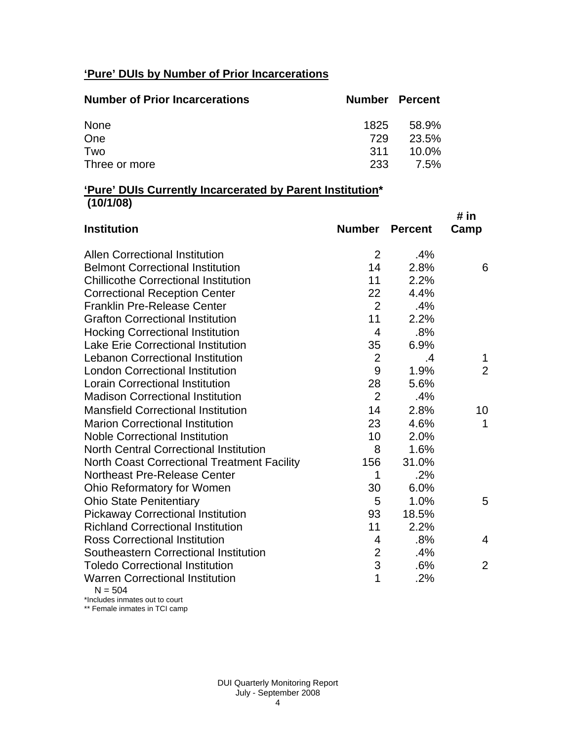# **'Pure' DUIs by Number of Prior Incarcerations**

| <b>Number of Prior Incarcerations</b> | <b>Number Percent</b> |       |
|---------------------------------------|-----------------------|-------|
| None                                  | 1825                  | 58.9% |
| One                                   | 729                   | 23.5% |
| Two                                   | <b>311</b>            | 10.0% |
| Three or more                         | 233                   | 7.5%  |

#### **'Pure' DUIs Currently Incarcerated by Parent Institution\* (10/1/08)**

| <b>Institution</b>                                 | <b>Number</b>  | <b>Percent</b> | # in<br>Camp   |
|----------------------------------------------------|----------------|----------------|----------------|
|                                                    |                |                |                |
| <b>Allen Correctional Institution</b>              | 2              | .4%            |                |
| <b>Belmont Correctional Institution</b>            | 14             | 2.8%           | 6              |
| <b>Chillicothe Correctional Institution</b>        | 11             | 2.2%           |                |
| <b>Correctional Reception Center</b>               | 22             | 4.4%           |                |
| <b>Franklin Pre-Release Center</b>                 | 2              | .4%            |                |
| <b>Grafton Correctional Institution</b>            | 11             | 2.2%           |                |
| <b>Hocking Correctional Institution</b>            | $\overline{4}$ | .8%            |                |
| <b>Lake Erie Correctional Institution</b>          | 35             | 6.9%           |                |
| <b>Lebanon Correctional Institution</b>            | $\overline{2}$ | .4             | 1              |
| <b>London Correctional Institution</b>             | 9              | 1.9%           | $\overline{2}$ |
| <b>Lorain Correctional Institution</b>             | 28             | 5.6%           |                |
| <b>Madison Correctional Institution</b>            | $\overline{2}$ | .4%            |                |
| <b>Mansfield Correctional Institution</b>          | 14             | 2.8%           | 10             |
| <b>Marion Correctional Institution</b>             | 23             | 4.6%           | 1              |
| <b>Noble Correctional Institution</b>              | 10             | 2.0%           |                |
| <b>North Central Correctional Institution</b>      | 8              | 1.6%           |                |
| <b>North Coast Correctional Treatment Facility</b> | 156            | 31.0%          |                |
| <b>Northeast Pre-Release Center</b>                | 1              | .2%            |                |
| Ohio Reformatory for Women                         | 30             | 6.0%           |                |
| <b>Ohio State Penitentiary</b>                     | 5              | 1.0%           | 5              |
| <b>Pickaway Correctional Institution</b>           | 93             | 18.5%          |                |
| <b>Richland Correctional Institution</b>           | 11             | 2.2%           |                |
| <b>Ross Correctional Institution</b>               | 4              | .8%            | 4              |
| Southeastern Correctional Institution              | $\overline{2}$ | .4%            |                |
| <b>Toledo Correctional Institution</b>             | 3              | .6%            | $\overline{2}$ |
| <b>Warren Correctional Institution</b><br>N – 504  | 1              | .2%            |                |

 $N = 504$ 

\*Includes inmates out to court \*\* Female inmates in TCI camp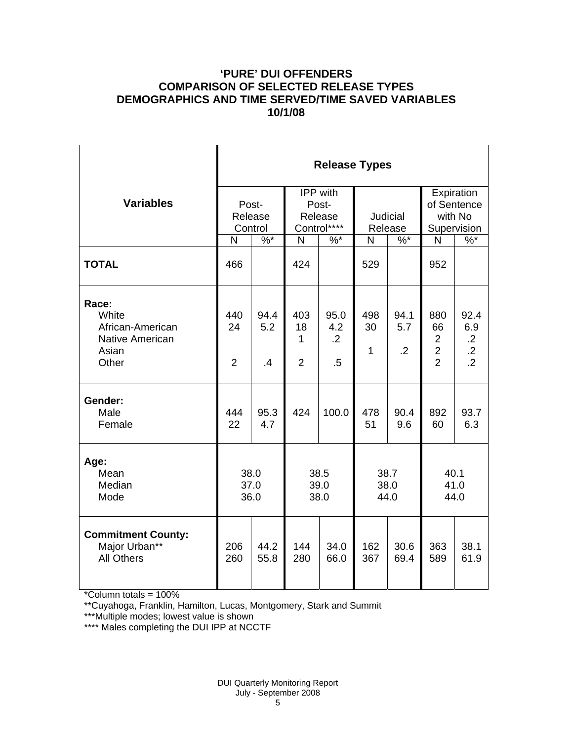## **'PURE' DUI OFFENDERS COMPARISON OF SELECTED RELEASE TYPES DEMOGRAPHICS AND TIME SERVED/TIME SAVED VARIABLES 10/1/08**

|                                                                                | <b>Release Types</b>        |                              |                                             |                                     |                           |                               |                                                                 |                                                           |  |
|--------------------------------------------------------------------------------|-----------------------------|------------------------------|---------------------------------------------|-------------------------------------|---------------------------|-------------------------------|-----------------------------------------------------------------|-----------------------------------------------------------|--|
| <b>Variables</b>                                                               | Post-<br>Release<br>Control |                              | IPP with<br>Post-<br>Release<br>Control**** |                                     | Judicial<br>Release       |                               | Expiration<br>of Sentence<br>with No<br>Supervision             |                                                           |  |
|                                                                                | N                           | $%^*$                        | N                                           | $%$ *                               | N                         | $%^*$                         | N                                                               | $%^*$                                                     |  |
| <b>TOTAL</b>                                                                   | 466                         |                              | 424                                         |                                     | 529                       |                               | 952                                                             |                                                           |  |
| Race:<br>White<br>African-American<br><b>Native American</b><br>Asian<br>Other | 440<br>24<br>$\overline{2}$ | 94.4<br>5.2<br>$\mathbf{.4}$ | 403<br>18<br>1<br>$\overline{2}$            | 95.0<br>4.2<br>$\overline{2}$<br>.5 | 498<br>30<br>$\mathbf{1}$ | 94.1<br>5.7<br>$\overline{2}$ | 880<br>66<br>$\overline{2}$<br>$\overline{2}$<br>$\overline{2}$ | 92.4<br>6.9<br>$\cdot$ .2<br>$\cdot$ .2<br>$\overline{2}$ |  |
| Gender:<br>Male<br>Female                                                      | 444<br>22                   | 95.3<br>4.7                  | 424                                         | 100.0                               | 478<br>51                 | 90.4<br>9.6                   | 892<br>60                                                       | 93.7<br>6.3                                               |  |
| Age:<br>Mean<br>Median<br>Mode                                                 | 38.0<br>37.0<br>36.0        |                              | 38.5<br>39.0<br>38.0                        |                                     | 38.7<br>38.0<br>44.0      |                               | 40.1<br>41.0<br>44.0                                            |                                                           |  |
| <b>Commitment County:</b><br>Major Urban**<br><b>All Others</b>                | 206<br>260                  | 44.2<br>55.8                 | 144<br>280                                  | 34.0<br>66.0                        | 162<br>367                | 30.6<br>69.4                  | 363<br>589                                                      | 38.1<br>61.9                                              |  |

\*Column totals = 100%

\*\*Cuyahoga, Franklin, Hamilton, Lucas, Montgomery, Stark and Summit

\*\*\*Multiple modes; lowest value is shown

\*\*\*\* Males completing the DUI IPP at NCCTF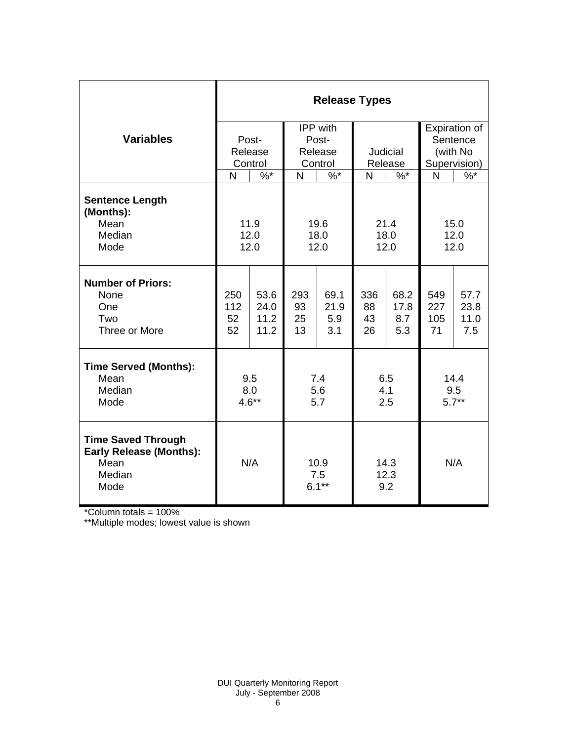|                                                                                       | <b>Release Types</b> |         |                         |          |                     |       |              |          |  |  |
|---------------------------------------------------------------------------------------|----------------------|---------|-------------------------|----------|---------------------|-------|--------------|----------|--|--|
|                                                                                       |                      |         |                         | IPP with | Expiration of       |       |              |          |  |  |
| <b>Variables</b>                                                                      |                      | Post-   |                         | Post-    |                     |       |              | Sentence |  |  |
|                                                                                       |                      | Release | Release                 |          | Judicial            |       | (with No     |          |  |  |
|                                                                                       |                      | Control | Control                 |          | Release             |       | Supervision) |          |  |  |
|                                                                                       | N                    | $%^*$   | N                       | $%^*$    | N                   | $%^*$ | N            | $%^*$    |  |  |
| <b>Sentence Length</b><br>(Months):                                                   |                      |         |                         |          |                     |       |              |          |  |  |
| Mean                                                                                  |                      | 11.9    | 19.6                    |          | 21.4                |       | 15.0         |          |  |  |
| Median<br>Mode                                                                        | 12.0                 |         | 18.0                    |          | 18.0<br>12.0        |       | 12.0<br>12.0 |          |  |  |
|                                                                                       | 12.0<br>12.0         |         |                         |          |                     |       |              |          |  |  |
| <b>Number of Priors:</b><br>None                                                      | 250                  | 53.6    | 293                     | 69.1     | 336                 | 68.2  | 549          | 57.7     |  |  |
| One                                                                                   | 112                  | 24.0    | 93                      | 21.9     | 88                  | 17.8  | 227          | 23.8     |  |  |
| Two                                                                                   | 52                   | 11.2    | 25                      | 5.9      | 43                  | 8.7   | 105          | 11.0     |  |  |
| Three or More                                                                         | 52                   | 11.2    | 13                      | 3.1      | 26                  | 5.3   | 71           | 7.5      |  |  |
| <b>Time Served (Months):</b>                                                          |                      |         |                         |          |                     |       |              |          |  |  |
| Mean                                                                                  | 9.5                  |         | 7.4                     |          | 6.5                 |       | 14.4         |          |  |  |
| Median                                                                                | 8.0<br>$4.6**$       |         | 5.6                     |          | 4.1                 |       | 9.5          |          |  |  |
| Mode                                                                                  |                      |         | 5.7                     |          | 2.5                 |       | $5.7**$      |          |  |  |
| <b>Time Saved Through</b><br><b>Early Release (Months):</b><br>Mean<br>Median<br>Mode | N/A                  |         | 10.9<br>7.5<br>$6.1***$ |          | 14.3<br>12.3<br>9.2 |       | N/A          |          |  |  |

\*Column totals = 100%

\*\*Multiple modes; lowest value is shown